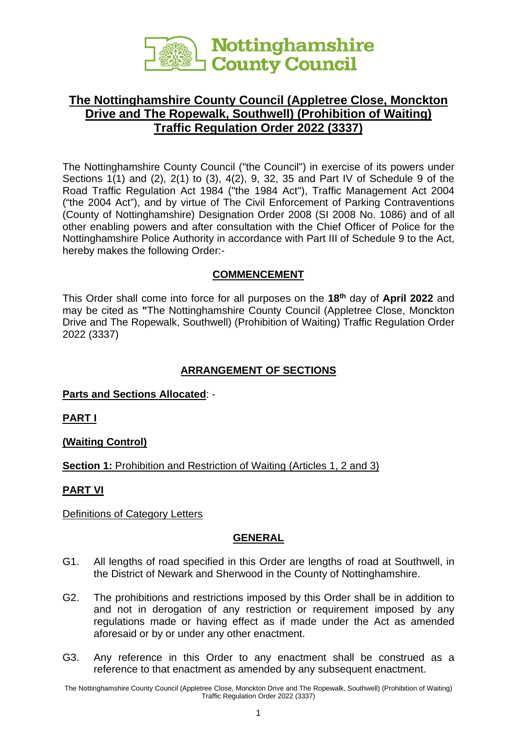

# **The Nottinghamshire County Council (Appletree Close, Monckton Drive and The Ropewalk, Southwell) (Prohibition of Waiting) Traffic Regulation Order 2022 (3337)**

The Nottinghamshire County Council ("the Council") in exercise of its powers under Sections 1(1) and (2), 2(1) to (3), 4(2), 9, 32, 35 and Part IV of Schedule 9 of the Road Traffic Regulation Act 1984 ("the 1984 Act"), Traffic Management Act 2004 ("the 2004 Act"), and by virtue of The Civil Enforcement of Parking Contraventions (County of Nottinghamshire) Designation Order 2008 (SI 2008 No. 1086) and of all other enabling powers and after consultation with the Chief Officer of Police for the Nottinghamshire Police Authority in accordance with Part III of Schedule 9 to the Act, hereby makes the following Order:-

#### **COMMENCEMENT**

This Order shall come into force for all purposes on the **18th** day of **April 2022** and may be cited as **"**The Nottinghamshire County Council (Appletree Close, Monckton Drive and The Ropewalk, Southwell) (Prohibition of Waiting) Traffic Regulation Order 2022 (3337)

# **ARRANGEMENT OF SECTIONS**

#### **Parts and Sections Allocated**: -

**PART I**

**(Waiting Control)**

## **Section 1:** Prohibition and Restriction of Waiting (Articles 1, 2 and 3)

## **PART VI**

Definitions of Category Letters

## **GENERAL**

- G1. All lengths of road specified in this Order are lengths of road at Southwell, in the District of Newark and Sherwood in the County of Nottinghamshire.
- G2. The prohibitions and restrictions imposed by this Order shall be in addition to and not in derogation of any restriction or requirement imposed by any regulations made or having effect as if made under the Act as amended aforesaid or by or under any other enactment.
- G3. Any reference in this Order to any enactment shall be construed as a reference to that enactment as amended by any subsequent enactment.

The Nottinghamshire County Council (Appletree Close, Monckton Drive and The Ropewalk, Southwell) (Prohibition of Waiting) Traffic Regulation Order 2022 (3337)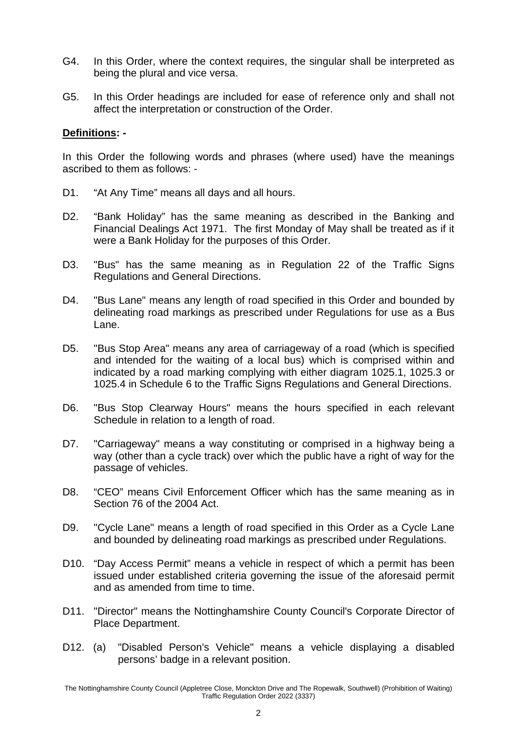- G4. In this Order, where the context requires, the singular shall be interpreted as being the plural and vice versa.
- G5. In this Order headings are included for ease of reference only and shall not affect the interpretation or construction of the Order.

#### **Definitions: -**

In this Order the following words and phrases (where used) have the meanings ascribed to them as follows: -

- D1. "At Any Time" means all days and all hours.
- D2. "Bank Holiday" has the same meaning as described in the Banking and Financial Dealings Act 1971. The first Monday of May shall be treated as if it were a Bank Holiday for the purposes of this Order.
- D3. "Bus" has the same meaning as in Regulation 22 of the Traffic Signs Regulations and General Directions.
- D4. "Bus Lane" means any length of road specified in this Order and bounded by delineating road markings as prescribed under Regulations for use as a Bus Lane.
- D5. "Bus Stop Area" means any area of carriageway of a road (which is specified and intended for the waiting of a local bus) which is comprised within and indicated by a road marking complying with either diagram 1025.1, 1025.3 or 1025.4 in Schedule 6 to the Traffic Signs Regulations and General Directions.
- D6. "Bus Stop Clearway Hours" means the hours specified in each relevant Schedule in relation to a length of road.
- D7. "Carriageway" means a way constituting or comprised in a highway being a way (other than a cycle track) over which the public have a right of way for the passage of vehicles.
- D8. "CEO" means Civil Enforcement Officer which has the same meaning as in Section 76 of the 2004 Act.
- D9. "Cycle Lane" means a length of road specified in this Order as a Cycle Lane and bounded by delineating road markings as prescribed under Regulations.
- D10. "Day Access Permit" means a vehicle in respect of which a permit has been issued under established criteria governing the issue of the aforesaid permit and as amended from time to time.
- D11. "Director" means the Nottinghamshire County Council's Corporate Director of Place Department.
- D12. (a) "Disabled Person's Vehicle" means a vehicle displaying a disabled persons' badge in a relevant position.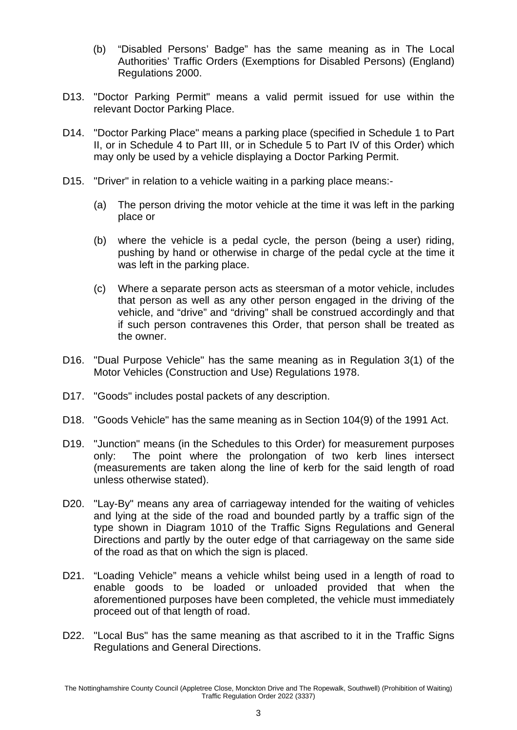- (b) "Disabled Persons' Badge" has the same meaning as in The Local Authorities' Traffic Orders (Exemptions for Disabled Persons) (England) Regulations 2000.
- D13. "Doctor Parking Permit" means a valid permit issued for use within the relevant Doctor Parking Place.
- D14. "Doctor Parking Place" means a parking place (specified in Schedule 1 to Part II, or in Schedule 4 to Part III, or in Schedule 5 to Part IV of this Order) which may only be used by a vehicle displaying a Doctor Parking Permit.
- D15. "Driver" in relation to a vehicle waiting in a parking place means:-
	- (a) The person driving the motor vehicle at the time it was left in the parking place or
	- (b) where the vehicle is a pedal cycle, the person (being a user) riding, pushing by hand or otherwise in charge of the pedal cycle at the time it was left in the parking place.
	- (c) Where a separate person acts as steersman of a motor vehicle, includes that person as well as any other person engaged in the driving of the vehicle, and "drive" and "driving" shall be construed accordingly and that if such person contravenes this Order, that person shall be treated as the owner.
- D16. "Dual Purpose Vehicle" has the same meaning as in Regulation 3(1) of the Motor Vehicles (Construction and Use) Regulations 1978.
- D17. "Goods" includes postal packets of any description.
- D18. "Goods Vehicle" has the same meaning as in Section 104(9) of the 1991 Act.
- D19. "Junction" means (in the Schedules to this Order) for measurement purposes only: The point where the prolongation of two kerb lines intersect (measurements are taken along the line of kerb for the said length of road unless otherwise stated).
- D20. "Lay-By" means any area of carriageway intended for the waiting of vehicles and lying at the side of the road and bounded partly by a traffic sign of the type shown in Diagram 1010 of the Traffic Signs Regulations and General Directions and partly by the outer edge of that carriageway on the same side of the road as that on which the sign is placed.
- D21. "Loading Vehicle" means a vehicle whilst being used in a length of road to enable goods to be loaded or unloaded provided that when the aforementioned purposes have been completed, the vehicle must immediately proceed out of that length of road.
- D22. "Local Bus" has the same meaning as that ascribed to it in the Traffic Signs Regulations and General Directions.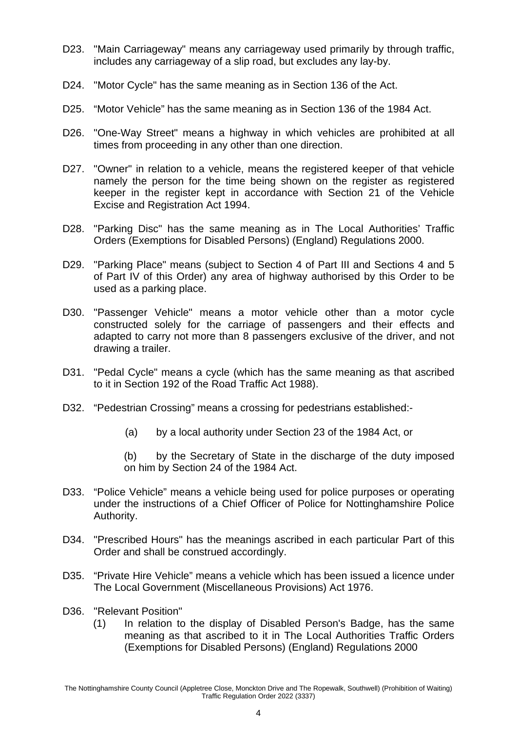- D23. "Main Carriageway" means any carriageway used primarily by through traffic, includes any carriageway of a slip road, but excludes any lay-by.
- D24. "Motor Cycle" has the same meaning as in Section 136 of the Act.
- D25. "Motor Vehicle" has the same meaning as in Section 136 of the 1984 Act.
- D26. "One-Way Street" means a highway in which vehicles are prohibited at all times from proceeding in any other than one direction.
- D27. "Owner" in relation to a vehicle, means the registered keeper of that vehicle namely the person for the time being shown on the register as registered keeper in the register kept in accordance with Section 21 of the Vehicle Excise and Registration Act 1994.
- D28. "Parking Disc" has the same meaning as in The Local Authorities' Traffic Orders (Exemptions for Disabled Persons) (England) Regulations 2000.
- D29. "Parking Place" means (subject to Section 4 of Part III and Sections 4 and 5 of Part IV of this Order) any area of highway authorised by this Order to be used as a parking place.
- D30. "Passenger Vehicle" means a motor vehicle other than a motor cycle constructed solely for the carriage of passengers and their effects and adapted to carry not more than 8 passengers exclusive of the driver, and not drawing a trailer.
- D31. "Pedal Cycle" means a cycle (which has the same meaning as that ascribed to it in Section 192 of the Road Traffic Act 1988).
- D32. "Pedestrian Crossing" means a crossing for pedestrians established:-
	- (a) by a local authority under Section 23 of the 1984 Act, or

(b) by the Secretary of State in the discharge of the duty imposed on him by Section 24 of the 1984 Act.

- D33. "Police Vehicle" means a vehicle being used for police purposes or operating under the instructions of a Chief Officer of Police for Nottinghamshire Police Authority.
- D34. "Prescribed Hours" has the meanings ascribed in each particular Part of this Order and shall be construed accordingly.
- D35. "Private Hire Vehicle" means a vehicle which has been issued a licence under The Local Government (Miscellaneous Provisions) Act 1976.
- D36. "Relevant Position"
	- (1) In relation to the display of Disabled Person's Badge, has the same meaning as that ascribed to it in The Local Authorities Traffic Orders (Exemptions for Disabled Persons) (England) Regulations 2000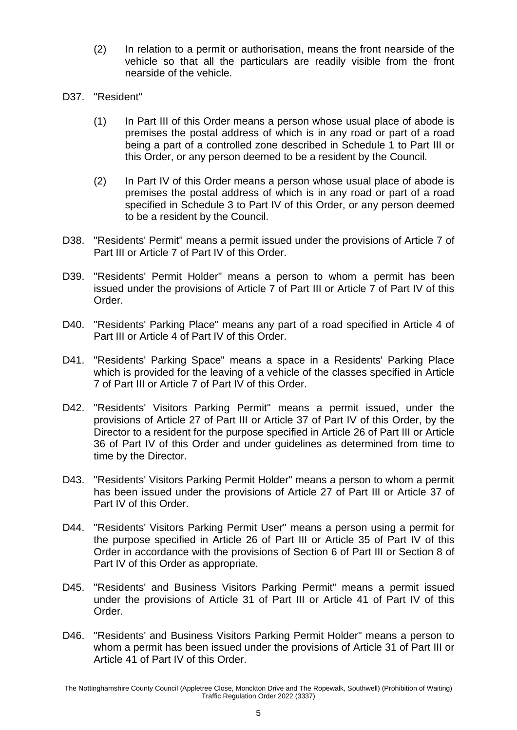- (2) In relation to a permit or authorisation, means the front nearside of the vehicle so that all the particulars are readily visible from the front nearside of the vehicle.
- D37. "Resident"
	- (1) In Part III of this Order means a person whose usual place of abode is premises the postal address of which is in any road or part of a road being a part of a controlled zone described in Schedule 1 to Part III or this Order, or any person deemed to be a resident by the Council.
	- (2) In Part IV of this Order means a person whose usual place of abode is premises the postal address of which is in any road or part of a road specified in Schedule 3 to Part IV of this Order, or any person deemed to be a resident by the Council.
- D38. "Residents' Permit" means a permit issued under the provisions of Article 7 of Part III or Article 7 of Part IV of this Order.
- D39. "Residents' Permit Holder" means a person to whom a permit has been issued under the provisions of Article 7 of Part III or Article 7 of Part IV of this Order.
- D40. "Residents' Parking Place" means any part of a road specified in Article 4 of Part III or Article 4 of Part IV of this Order.
- D41. "Residents' Parking Space" means a space in a Residents' Parking Place which is provided for the leaving of a vehicle of the classes specified in Article 7 of Part III or Article 7 of Part IV of this Order.
- D42. "Residents' Visitors Parking Permit" means a permit issued, under the provisions of Article 27 of Part III or Article 37 of Part IV of this Order, by the Director to a resident for the purpose specified in Article 26 of Part III or Article 36 of Part IV of this Order and under guidelines as determined from time to time by the Director.
- D43. "Residents' Visitors Parking Permit Holder" means a person to whom a permit has been issued under the provisions of Article 27 of Part III or Article 37 of Part IV of this Order.
- D44. "Residents' Visitors Parking Permit User" means a person using a permit for the purpose specified in Article 26 of Part III or Article 35 of Part IV of this Order in accordance with the provisions of Section 6 of Part III or Section 8 of Part IV of this Order as appropriate.
- D45. "Residents' and Business Visitors Parking Permit" means a permit issued under the provisions of Article 31 of Part III or Article 41 of Part IV of this Order.
- D46. "Residents' and Business Visitors Parking Permit Holder" means a person to whom a permit has been issued under the provisions of Article 31 of Part III or Article 41 of Part IV of this Order.

The Nottinghamshire County Council (Appletree Close, Monckton Drive and The Ropewalk, Southwell) (Prohibition of Waiting) Traffic Regulation Order 2022 (3337)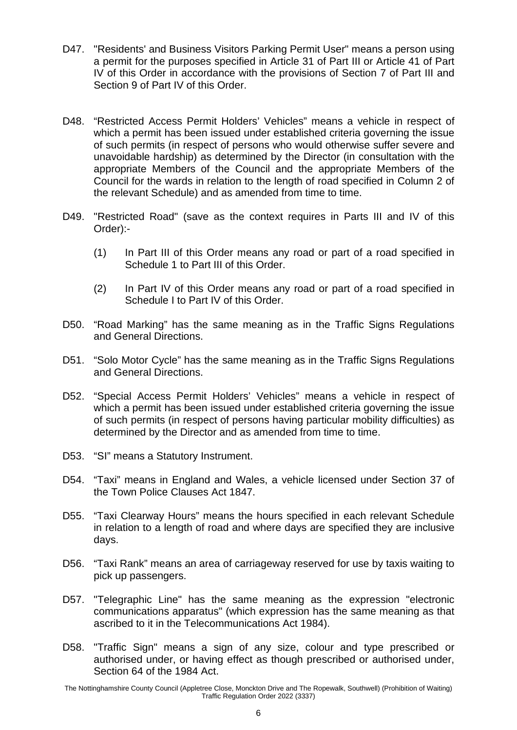- D47. "Residents' and Business Visitors Parking Permit User" means a person using a permit for the purposes specified in Article 31 of Part III or Article 41 of Part IV of this Order in accordance with the provisions of Section 7 of Part III and Section 9 of Part IV of this Order.
- D48. "Restricted Access Permit Holders' Vehicles" means a vehicle in respect of which a permit has been issued under established criteria governing the issue of such permits (in respect of persons who would otherwise suffer severe and unavoidable hardship) as determined by the Director (in consultation with the appropriate Members of the Council and the appropriate Members of the Council for the wards in relation to the length of road specified in Column 2 of the relevant Schedule) and as amended from time to time.
- D49. "Restricted Road" (save as the context requires in Parts III and IV of this Order):-
	- (1) In Part III of this Order means any road or part of a road specified in Schedule 1 to Part III of this Order.
	- (2) In Part IV of this Order means any road or part of a road specified in Schedule I to Part IV of this Order.
- D50. "Road Marking" has the same meaning as in the Traffic Signs Regulations and General Directions.
- D51. "Solo Motor Cycle" has the same meaning as in the Traffic Signs Regulations and General Directions.
- D52. "Special Access Permit Holders' Vehicles" means a vehicle in respect of which a permit has been issued under established criteria governing the issue of such permits (in respect of persons having particular mobility difficulties) as determined by the Director and as amended from time to time.
- D53. "SI" means a Statutory Instrument.
- D54. "Taxi" means in England and Wales, a vehicle licensed under Section 37 of the Town Police Clauses Act 1847.
- D55. "Taxi Clearway Hours" means the hours specified in each relevant Schedule in relation to a length of road and where days are specified they are inclusive days.
- D56. "Taxi Rank" means an area of carriageway reserved for use by taxis waiting to pick up passengers.
- D57. "Telegraphic Line" has the same meaning as the expression "electronic communications apparatus" (which expression has the same meaning as that ascribed to it in the Telecommunications Act 1984).
- D58. "Traffic Sign" means a sign of any size, colour and type prescribed or authorised under, or having effect as though prescribed or authorised under, Section 64 of the 1984 Act.

The Nottinghamshire County Council (Appletree Close, Monckton Drive and The Ropewalk, Southwell) (Prohibition of Waiting) Traffic Regulation Order 2022 (3337)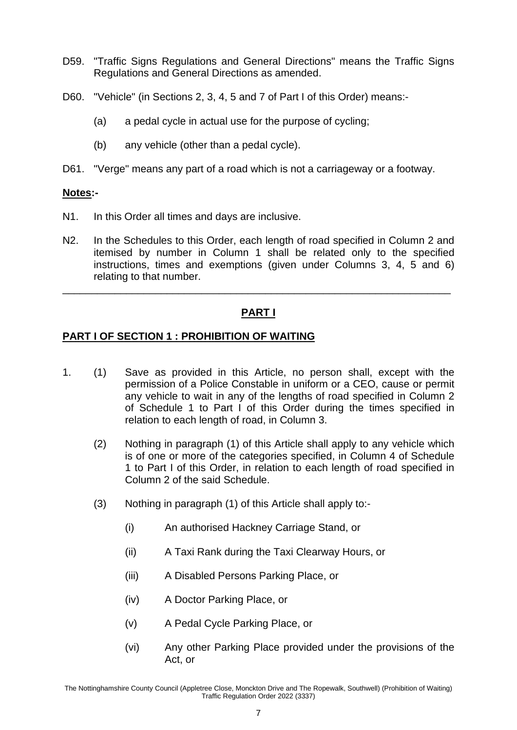- D59. "Traffic Signs Regulations and General Directions" means the Traffic Signs Regulations and General Directions as amended.
- D60. "Vehicle" (in Sections 2, 3, 4, 5 and 7 of Part I of this Order) means:-
	- (a) a pedal cycle in actual use for the purpose of cycling;
	- (b) any vehicle (other than a pedal cycle).
- D61. "Verge" means any part of a road which is not a carriageway or a footway.

#### **Notes:-**

- N1. In this Order all times and days are inclusive.
- N2. In the Schedules to this Order, each length of road specified in Column 2 and itemised by number in Column 1 shall be related only to the specified instructions, times and exemptions (given under Columns 3, 4, 5 and 6) relating to that number.

## **PART I**

\_\_\_\_\_\_\_\_\_\_\_\_\_\_\_\_\_\_\_\_\_\_\_\_\_\_\_\_\_\_\_\_\_\_\_\_\_\_\_\_\_\_\_\_\_\_\_\_\_\_\_\_\_\_\_\_\_\_\_\_\_\_\_\_\_\_\_

#### **PART I OF SECTION 1 : PROHIBITION OF WAITING**

- 1. (1) Save as provided in this Article, no person shall, except with the permission of a Police Constable in uniform or a CEO, cause or permit any vehicle to wait in any of the lengths of road specified in Column 2 of Schedule 1 to Part I of this Order during the times specified in relation to each length of road, in Column 3.
	- (2) Nothing in paragraph (1) of this Article shall apply to any vehicle which is of one or more of the categories specified, in Column 4 of Schedule 1 to Part I of this Order, in relation to each length of road specified in Column 2 of the said Schedule.
	- (3) Nothing in paragraph (1) of this Article shall apply to:-
		- (i) An authorised Hackney Carriage Stand, or
		- (ii) A Taxi Rank during the Taxi Clearway Hours, or
		- (iii) A Disabled Persons Parking Place, or
		- (iv) A Doctor Parking Place, or
		- (v) A Pedal Cycle Parking Place, or
		- (vi) Any other Parking Place provided under the provisions of the Act, or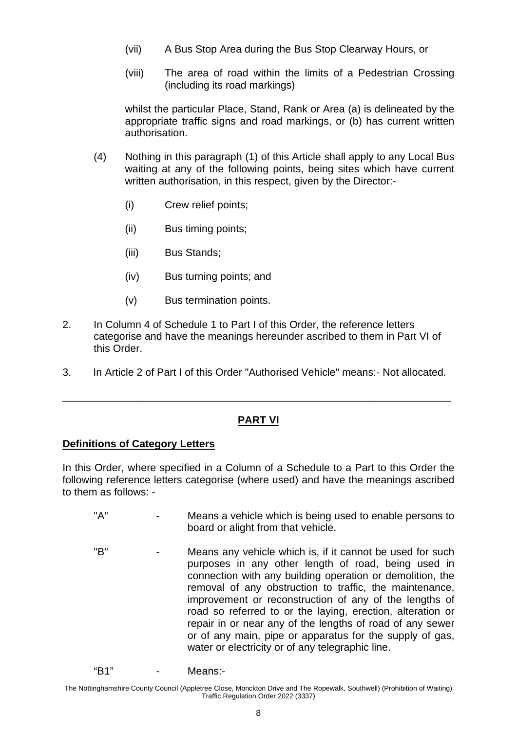- (vii) A Bus Stop Area during the Bus Stop Clearway Hours, or
- (viii) The area of road within the limits of a Pedestrian Crossing (including its road markings)

whilst the particular Place, Stand, Rank or Area (a) is delineated by the appropriate traffic signs and road markings, or (b) has current written authorisation.

- (4) Nothing in this paragraph (1) of this Article shall apply to any Local Bus waiting at any of the following points, being sites which have current written authorisation, in this respect, given by the Director:-
	- (i) Crew relief points;
	- (ii) Bus timing points;
	- (iii) Bus Stands;
	- (iv) Bus turning points; and
	- (v) Bus termination points.
- 2. In Column 4 of Schedule 1 to Part I of this Order, the reference letters categorise and have the meanings hereunder ascribed to them in Part VI of this Order.
- 3. In Article 2 of Part I of this Order "Authorised Vehicle" means:- Not allocated.

\_\_\_\_\_\_\_\_\_\_\_\_\_\_\_\_\_\_\_\_\_\_\_\_\_\_\_\_\_\_\_\_\_\_\_\_\_\_\_\_\_\_\_\_\_\_\_\_\_\_\_\_\_\_\_\_\_\_\_\_\_\_\_\_\_\_\_

## **PART VI**

#### **Definitions of Category Letters**

In this Order, where specified in a Column of a Schedule to a Part to this Order the following reference letters categorise (where used) and have the meanings ascribed to them as follows: -

- "A" Means a vehicle which is being used to enable persons to board or alight from that vehicle.
- "B" Means any vehicle which is, if it cannot be used for such purposes in any other length of road, being used in connection with any building operation or demolition, the removal of any obstruction to traffic, the maintenance, improvement or reconstruction of any of the lengths of road so referred to or the laying, erection, alteration or repair in or near any of the lengths of road of any sewer or of any main, pipe or apparatus for the supply of gas, water or electricity or of any telegraphic line.

```
"B1" - Means:-
```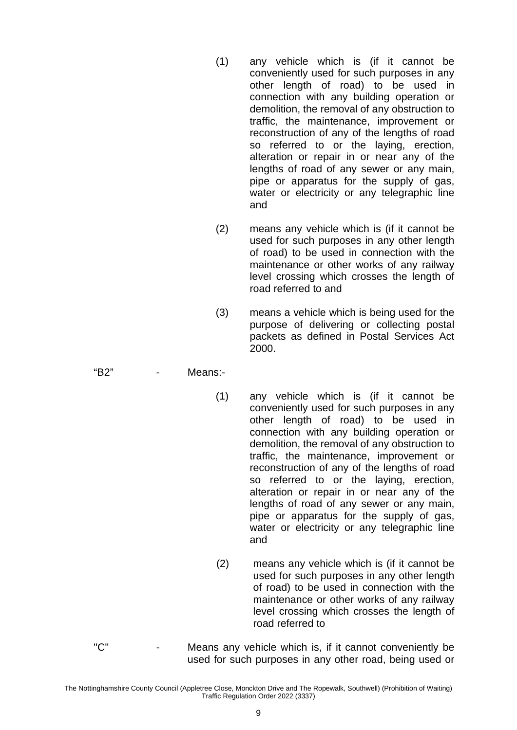- (1) any vehicle which is (if it cannot be conveniently used for such purposes in any other length of road) to be used in connection with any building operation or demolition, the removal of any obstruction to traffic, the maintenance, improvement or reconstruction of any of the lengths of road so referred to or the laying, erection, alteration or repair in or near any of the lengths of road of any sewer or any main, pipe or apparatus for the supply of gas, water or electricity or any telegraphic line and
- (2) means any vehicle which is (if it cannot be used for such purposes in any other length of road) to be used in connection with the maintenance or other works of any railway level crossing which crosses the length of road referred to and
- (3) means a vehicle which is being used for the purpose of delivering or collecting postal packets as defined in Postal Services Act 2000.
- "B2" Means:-
	- (1) any vehicle which is (if it cannot be conveniently used for such purposes in any other length of road) to be used in connection with any building operation or demolition, the removal of any obstruction to traffic, the maintenance, improvement or reconstruction of any of the lengths of road so referred to or the laying, erection, alteration or repair in or near any of the lengths of road of any sewer or any main, pipe or apparatus for the supply of gas, water or electricity or any telegraphic line and
	- (2) means any vehicle which is (if it cannot be used for such purposes in any other length of road) to be used in connection with the maintenance or other works of any railway level crossing which crosses the length of road referred to
- "C" Means any vehicle which is, if it cannot conveniently be used for such purposes in any other road, being used or

The Nottinghamshire County Council (Appletree Close, Monckton Drive and The Ropewalk, Southwell) (Prohibition of Waiting) Traffic Regulation Order 2022 (3337)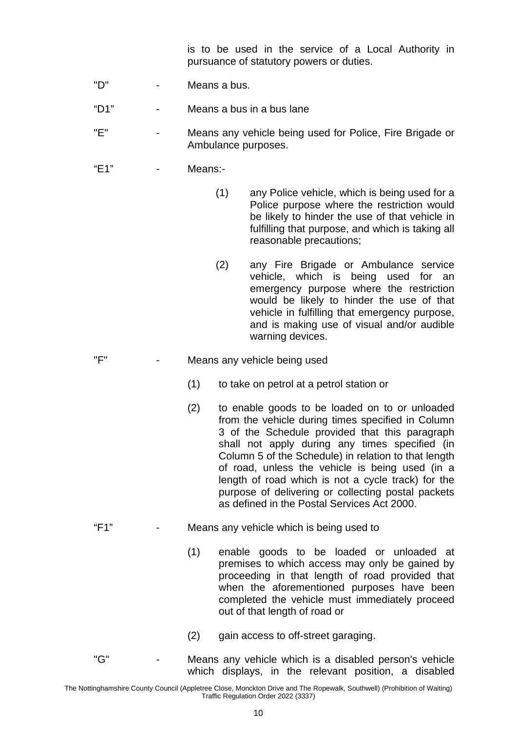is to be used in the service of a Local Authority in pursuance of statutory powers or duties.

- "D" Means a bus.
- "D1" Means a bus in a bus lane
- "E" Means any vehicle being used for Police, Fire Brigade or Ambulance purposes.
- "E1" Means:-
	- (1) any Police vehicle, which is being used for a Police purpose where the restriction would be likely to hinder the use of that vehicle in fulfilling that purpose, and which is taking all reasonable precautions;
	- (2) any Fire Brigade or Ambulance service vehicle, which is being used for an emergency purpose where the restriction would be likely to hinder the use of that vehicle in fulfilling that emergency purpose, and is making use of visual and/or audible warning devices.
- "F" Means any vehicle being used
	- (1) to take on petrol at a petrol station or
	- (2) to enable goods to be loaded on to or unloaded from the vehicle during times specified in Column 3 of the Schedule provided that this paragraph shall not apply during any times specified (in Column 5 of the Schedule) in relation to that length of road, unless the vehicle is being used (in a length of road which is not a cycle track) for the purpose of delivering or collecting postal packets as defined in the Postal Services Act 2000.
- "F1" Means any vehicle which is being used to
	- (1) enable goods to be loaded or unloaded at premises to which access may only be gained by proceeding in that length of road provided that when the aforementioned purposes have been completed the vehicle must immediately proceed out of that length of road or
	- (2) gain access to off-street garaging.
- "G" Means any vehicle which is a disabled person's vehicle which displays, in the relevant position, a disabled

The Nottinghamshire County Council (Appletree Close, Monckton Drive and The Ropewalk, Southwell) (Prohibition of Waiting) Traffic Regulation Order 2022 (3337)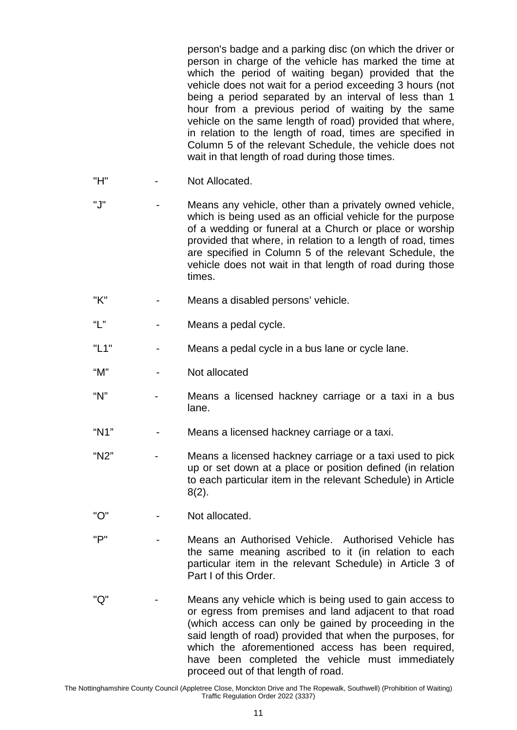person's badge and a parking disc (on which the driver or person in charge of the vehicle has marked the time at which the period of waiting began) provided that the vehicle does not wait for a period exceeding 3 hours (not being a period separated by an interval of less than 1 hour from a previous period of waiting by the same vehicle on the same length of road) provided that where, in relation to the length of road, times are specified in Column 5 of the relevant Schedule, the vehicle does not wait in that length of road during those times.

- "H" Not Allocated.
- "J" Means any vehicle, other than a privately owned vehicle, which is being used as an official vehicle for the purpose of a wedding or funeral at a Church or place or worship provided that where, in relation to a length of road, times are specified in Column 5 of the relevant Schedule, the vehicle does not wait in that length of road during those times.
- "K" Means a disabled persons' vehicle.
- "L" Means a pedal cycle.
- "L1" Means a pedal cycle in a bus lane or cycle lane.
- "M" Not allocated
- "N" Means a licensed hackney carriage or a taxi in a bus lane.
- "N1" Means a licensed hackney carriage or a taxi.
- "N2" Means a licensed hackney carriage or a taxi used to pick up or set down at a place or position defined (in relation to each particular item in the relevant Schedule) in Article 8(2).
- "O" Not allocated.
- "P" Means an Authorised Vehicle. Authorised Vehicle has the same meaning ascribed to it (in relation to each particular item in the relevant Schedule) in Article 3 of Part I of this Order.
- "Q" Means any vehicle which is being used to gain access to or egress from premises and land adjacent to that road (which access can only be gained by proceeding in the said length of road) provided that when the purposes, for which the aforementioned access has been required, have been completed the vehicle must immediately proceed out of that length of road.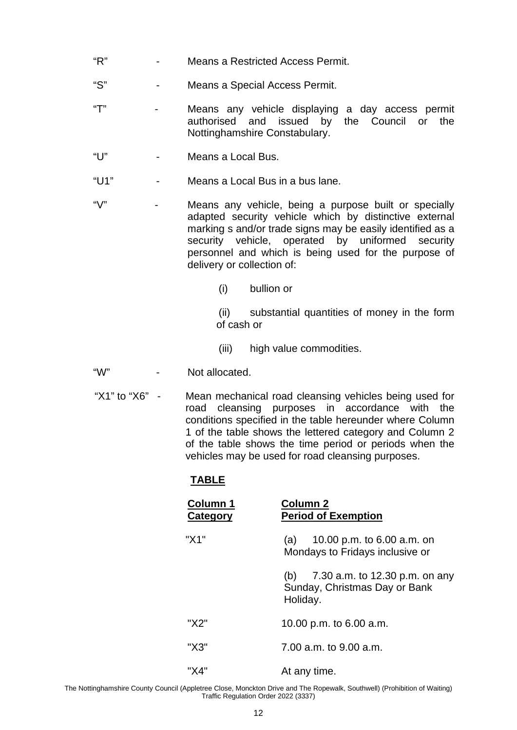- "R" Means a Restricted Access Permit.
- "S" Means a Special Access Permit.
- "T" Means any vehicle displaying a day access permit authorised and issued by the Council or the Nottinghamshire Constabulary.
- "U" Means a Local Bus.
- "U1" Means a Local Bus in a bus lane.
- "V" Means any vehicle, being a purpose built or specially adapted security vehicle which by distinctive external marking s and/or trade signs may be easily identified as a security vehicle, operated by uniformed security personnel and which is being used for the purpose of delivery or collection of:
	- (i) bullion or

(ii) substantial quantities of money in the form of cash or

- (iii) high value commodities.
- "W" Not allocated.
- "X1" to "X6" Mean mechanical road cleansing vehicles being used for road cleansing purposes in accordance with the conditions specified in the table hereunder where Column 1 of the table shows the lettered category and Column 2 of the table shows the time period or periods when the vehicles may be used for road cleansing purposes.

## **TABLE**

| Column 1<br>Category | <b>Column 2</b><br><b>Period of Exemption</b>                                      |  |
|----------------------|------------------------------------------------------------------------------------|--|
| "X1"                 | 10.00 p.m. to 6.00 a.m. on<br>(a)<br>Mondays to Fridays inclusive or               |  |
|                      | 7.30 a.m. to 12.30 p.m. on any<br>(b)<br>Sunday, Christmas Day or Bank<br>Holiday. |  |
| "X2"                 | 10.00 p.m. to 6.00 a.m.                                                            |  |
| "X3"                 | 7.00 a.m. to 9.00 a.m.                                                             |  |
| "X4"                 | At any time.                                                                       |  |

The Nottinghamshire County Council (Appletree Close, Monckton Drive and The Ropewalk, Southwell) (Prohibition of Waiting) Traffic Regulation Order 2022 (3337)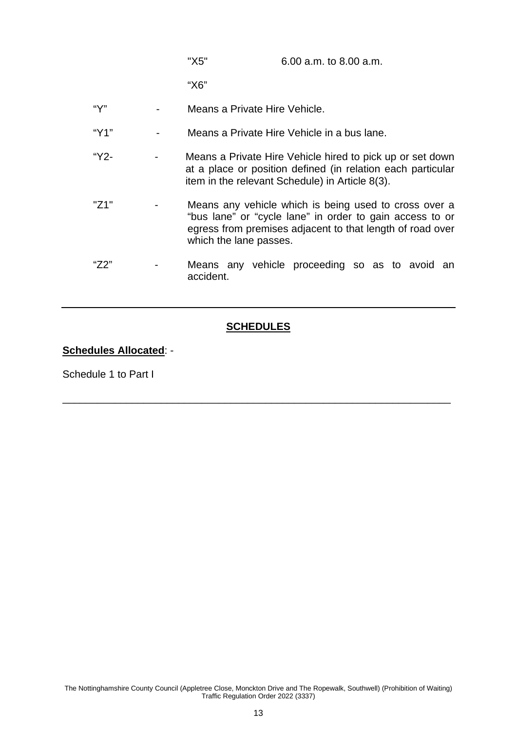| "X5" | 6.00 a.m. to 8.00 a.m. |
|------|------------------------|
|------|------------------------|

"X6"

- "Y" Means a Private Hire Vehicle.
- "Y1" Means a Private Hire Vehicle in a bus lane.
- "Y2- Means a Private Hire Vehicle hired to pick up or set down at a place or position defined (in relation each particular item in the relevant Schedule) in Article 8(3).
- "Z1" Means any vehicle which is being used to cross over a "bus lane" or "cycle lane" in order to gain access to or egress from premises adjacent to that length of road over which the lane passes.
- "Z2" Means any vehicle proceeding so as to avoid an accident.

#### **SCHEDULES**

\_\_\_\_\_\_\_\_\_\_\_\_\_\_\_\_\_\_\_\_\_\_\_\_\_\_\_\_\_\_\_\_\_\_\_\_\_\_\_\_\_\_\_\_\_\_\_\_\_\_\_\_\_\_\_\_\_\_\_\_\_\_\_\_\_\_\_

#### **Schedules Allocated**: -

Schedule 1 to Part I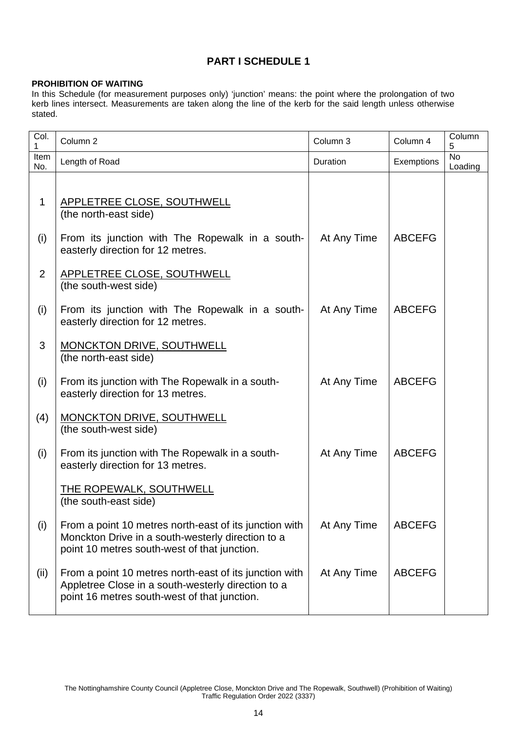## **PART I SCHEDULE 1**

#### **PROHIBITION OF WAITING**

In this Schedule (for measurement purposes only) 'junction' means: the point where the prolongation of two kerb lines intersect. Measurements are taken along the line of the kerb for the said length unless otherwise stated.

| Col.<br>1   | Column <sub>2</sub>                                                                                                                                          | Column 3    | Column 4      | Column<br>5                   |
|-------------|--------------------------------------------------------------------------------------------------------------------------------------------------------------|-------------|---------------|-------------------------------|
| Item<br>No. | Length of Road                                                                                                                                               | Duration    | Exemptions    | $\overline{N_{0}}$<br>Loading |
|             |                                                                                                                                                              |             |               |                               |
| 1           | APPLETREE CLOSE, SOUTHWELL<br>(the north-east side)                                                                                                          |             |               |                               |
| (i)         | From its junction with The Ropewalk in a south-<br>easterly direction for 12 metres.                                                                         | At Any Time | <b>ABCEFG</b> |                               |
| 2           | <b>APPLETREE CLOSE, SOUTHWELL</b><br>(the south-west side)                                                                                                   |             |               |                               |
| (i)         | From its junction with The Ropewalk in a south-<br>easterly direction for 12 metres.                                                                         | At Any Time | <b>ABCEFG</b> |                               |
| 3           | <b>MONCKTON DRIVE, SOUTHWELL</b><br>(the north-east side)                                                                                                    |             |               |                               |
| (i)         | From its junction with The Ropewalk in a south-<br>easterly direction for 13 metres.                                                                         | At Any Time | <b>ABCEFG</b> |                               |
| (4)         | <b>MONCKTON DRIVE, SOUTHWELL</b><br>(the south-west side)                                                                                                    |             |               |                               |
| (i)         | From its junction with The Ropewalk in a south-<br>easterly direction for 13 metres.                                                                         | At Any Time | <b>ABCEFG</b> |                               |
|             | THE ROPEWALK, SOUTHWELL<br>(the south-east side)                                                                                                             |             |               |                               |
| (i)         | From a point 10 metres north-east of its junction with<br>Monckton Drive in a south-westerly direction to a<br>point 10 metres south-west of that junction.  | At Any Time | <b>ABCEFG</b> |                               |
| (ii)        | From a point 10 metres north-east of its junction with<br>Appletree Close in a south-westerly direction to a<br>point 16 metres south-west of that junction. | At Any Time | <b>ABCEFG</b> |                               |